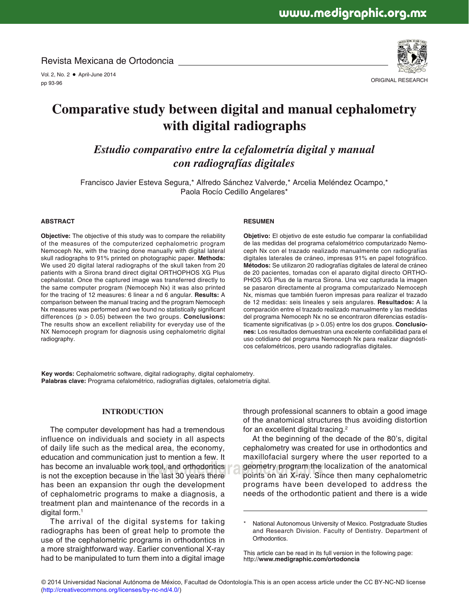Revista Mexicana de Ortodoncia

Vol. 2, No. 2 • April-June 2014 pp 93-96



ORIGINAL RESEARCH

# **Comparative study between digital and manual cephalometry with digital radiographs**

*Estudio comparativo entre la cefalometría digital y manual con radiografías digitales*

Francisco Javier Esteva Segura,\* Alfredo Sánchez Valverde,\* Arcelia Meléndez Ocampo,\* Paola Rocío Cedillo Angelares\*

#### **ABSTRACT**

**Objective:** The objective of this study was to compare the reliability of the measures of the computerized cephalometric program Nemoceph Nx, with the tracing done manually with digital lateral skull radiographs to 91% printed on photographic paper. **Methods:** We used 20 digital lateral radiographs of the skull taken from 20 patients with a Sirona brand direct digital ORTHOPHOS XG Plus cephalostat. Once the captured image was transferred directly to the same computer program (Nemoceph Nx) it was also printed for the tracing of 12 measures: 6 linear a nd 6 angular. **Results:** A comparison between the manual tracing and the program Nemoceph Nx measures was performed and we found no statistically significant differences (p > 0.05) between the two groups. **Conclusions:** The results show an excellent reliability for everyday use of the NX Nemoceph program for diagnosis using cephalometric digital radiography.

#### **RESUMEN**

Objetivo: El objetivo de este estudio fue comparar la confiabilidad de las medidas del programa cefalométrico computarizado Nemoceph Nx con el trazado realizado manualmente con radiografías digitales laterales de cráneo, impresas 91% en papel fotográfico. **Métodos:** Se utilizaron 20 radiografías digitales de lateral de cráneo de 20 pacientes, tomadas con el aparato digital directo ORTHO-PHOS XG Plus de la marca Sirona. Una vez capturada la imagen se pasaron directamente al programa computarizado Nemoceph Nx, mismas que también fueron impresas para realizar el trazado de 12 medidas: seis lineales y seis angulares. **Resultados:** A la comparación entre el trazado realizado manualmente y las medidas del programa Nemoceph Nx no se encontraron diferencias estadísticamente significativas (p > 0.05) entre los dos grupos. **Conclusio**nes: Los resultados demuestran una excelente confiabilidad para el uso cotidiano del programa Nemoceph Nx para realizar diagnósticos cefalométricos, pero usando radiografías digitales.

**Key words:** Cephalometric software, digital radiography, digital cephalometry. **Palabras clave:** Programa cefalométrico, radiografías digitales, cefalometría digital.

## **INTRODUCTION**

has become an invaluable work tool, and orthodontics and geometry program the last of the last of the last 30 years there are points on an X-ray. Sing The computer development has had a tremendous influence on individuals and society in all aspects of daily life such as the medical area, the economy, education and communication just to mention a few. It is not the exception because in the last 30 years there has been an expansion thr ough the development of cephalometric programs to make a diagnosis, a treatment plan and maintenance of the records in a digital form.<sup>1</sup>

The arrival of the digital systems for taking radiographs has been of great help to promote the use of the cephalometric programs in orthodontics in a more straightforward way. Earlier conventional X-ray had to be manipulated to turn them into a digital image through professional scanners to obtain a good image of the anatomical structures thus avoiding distortion for an excellent digital tracing.<sup>2</sup>

At the beginning of the decade of the 80's, digital cephalometry was created for use in orthodontics and maxillofacial surgery where the user reported to a geometry program the localization of the anatomical points on an X-ray. Since then many cephalometric programs have been developed to address the needs of the orthodontic patient and there is a wide

This article can be read in its full version in the following page: http://**www.medigraphic.com/ortodoncia**

National Autonomous University of Mexico. Postgraduate Studies and Research Division. Faculty of Dentistry. Department of Orthodontics.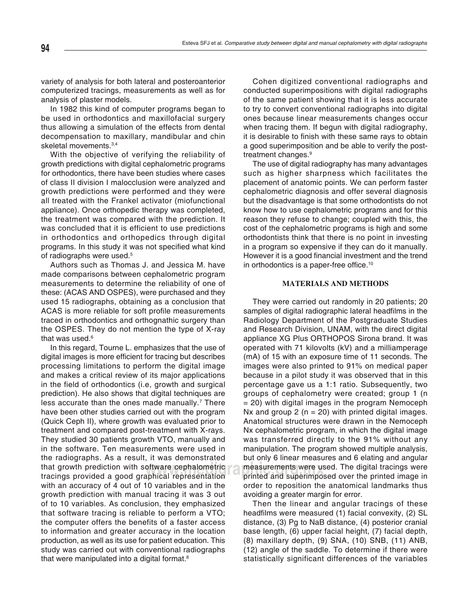variety of analysis for both lateral and posteroanterior computerized tracings, measurements as well as for analysis of plaster models.

In 1982 this kind of computer programs began to be used in orthodontics and maxillofacial surgery thus allowing a simulation of the effects from dental decompensation to maxillary, mandibular and chin skeletal movements.<sup>3,4</sup>

With the objective of verifying the reliability of growth predictions with digital cephalometric programs for orthodontics, there have been studies where cases of class II division I malocclusion were analyzed and growth predictions were performed and they were all treated with the Frankel activator (miofunctional appliance). Once orthopedic therapy was completed, the treatment was compared with the prediction. It was concluded that it is efficient to use predictions in orthodontics and orthopedics through digital programs. In this study it was not specified what kind of radiographs were used.<sup>5</sup>

Authors such as Thomas J. and Jessica M. have made comparisons between cephalometric program measurements to determine the reliability of one of these: (ACAS AND OSPES), were purchased and they used 15 radiographs, obtaining as a conclusion that ACAS is more reliable for soft profile measurements traced in orthodontics and orthognathic surgery than the OSPES. They do not mention the type of X-ray that was used.<sup>6</sup>

In this regard, Tourne L. emphasizes that the use of digital images is more efficient for tracing but describes processing limitations to perform the digital image and makes a critical review of its major applications in the field of orthodontics (i.e, growth and surgical prediction). He also shows that digital techniques are less accurate than the ones made manually.<sup>7</sup> There have been other studies carried out with the program (Quick Ceph II), where growth was evaluated prior to treatment and compared post-treatment with X-rays. They studied 30 patients growth VTO, manually and in the software. Ten measurements were used in the radiographs. As a result, it was demonstrated that growth prediction with software cephalometric tracings provided a good graphical representation with an accuracy of 4 out of 10 variables and in the growth prediction with manual tracing it was 3 out of to 10 variables. As conclusion, they emphasized that software tracing is reliable to perform a VTO; the computer offers the benefits of a faster access to information and greater accuracy in the location production, as well as its use for patient education. This study was carried out with conventional radiographs that were manipulated into a digital format.<sup>8</sup>

Cohen digitized conventional radiographs and conducted superimpositions with digital radiographs of the same patient showing that it is less accurate to try to convert conventional radiographs into digital ones because linear measurements changes occur when tracing them. If begun with digital radiography, it is desirable to finish with these same rays to obtain a good superimposition and be able to verify the posttreatment changes.<sup>9</sup>

The use of digital radiography has many advantages such as higher sharpness which facilitates the placement of anatomic points. We can perform faster cephalometric diagnosis and offer several diagnosis but the disadvantage is that some orthodontists do not know how to use cephalometric programs and for this reason they refuse to change; coupled with this, the cost of the cephalometric programs is high and some orthodontists think that there is no point in investing in a program so expensive if they can do it manually. However it is a good financial investment and the trend in orthodontics is a paper-free office.<sup>10</sup>

## **MATERIALS AND METHODS**

oftware cephalometric and measurements were used. The digital tracings were of two measurements were in the printe<br>applical representation of printed and superimposed over the printed image in They were carried out randomly in 20 patients; 20 samples of digital radiographic lateral headfilms in the Radiology Department of the Postgraduate Studies and Research Division, UNAM, with the direct digital appliance XG Plus ORTHOPOS Sirona brand. It was operated with 71 kilovolts (kV) and a milliamperage (mA) of 15 with an exposure time of 11 seconds. The images were also printed to 91% on medical paper because in a pilot study it was observed that in this percentage gave us a 1:1 ratio. Subsequently, two groups of cephalometry were created; group 1 (n = 20) with digital images in the program Nemoceph Nx and group  $2$  (n = 20) with printed digital images. Anatomical structures were drawn in the Nemoceph Nx cephalometric program, in which the digital image was transferred directly to the 91% without any manipulation. The program showed multiple analysis, but only 6 linear measures and 6 elating and angular printed and superimposed over the printed image in order to reposition the anatomical landmarks thus avoiding a greater margin for error.

> Then the linear and angular tracings of these headfilms were measured (1) facial convexity, (2) SL distance, (3) Pg to NaB distance, (4) posterior cranial base length, (6) upper facial height, (7) facial depth, (8) maxillary depth, (9) SNA, (10) SNB, (11) ANB, (12) angle of the saddle. To determine if there were statistically significant differences of the variables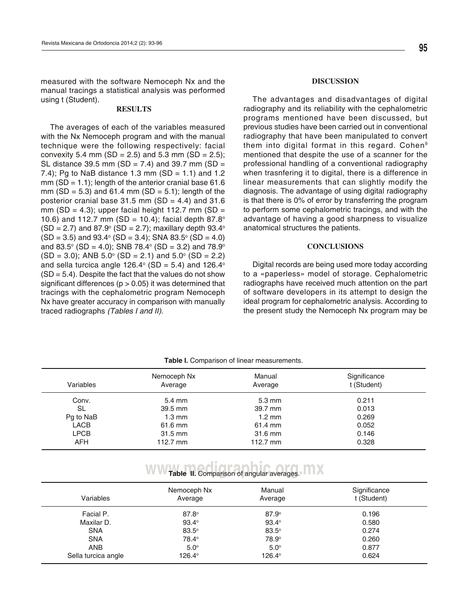measured with the software Nemoceph Nx and the manual tracings a statistical analysis was performed using t (Student).

## **RESULTS**

**Este documento es elaborado por Medigraphic** convexity 5.4 mm (SD = 2.5) and 5.3 mm (SD = 2.5); The averages of each of the variables measured with the Nx Nemoceph program and with the manual technique were the following respectively: facial SL distance 39.5 mm (SD = 7.4) and 39.7 mm (SD = 7.4); Pg to NaB distance 1.3 mm  $(SD = 1.1)$  and 1.2 mm ( $SD = 1.1$ ); length of the anterior cranial base 61.6 mm (SD = 5.3) and 61.4 mm (SD = 5.1); length of the posterior cranial base 31.5 mm (SD = 4.4) and 31.6 mm (SD = 4.3); upper facial height 112.7 mm (SD = 10.6) and 112.7 mm (SD = 10.4); facial depth  $87.8^\circ$  $(SD = 2.7)$  and 87.9 $\textdegree$  (SD = 2.7); maxillary depth 93.4 $\textdegree$  $(SD = 3.5)$  and 93.4 $\textdegree$  (SD = 3.4); SNA 83.5 $\textdegree$  (SD = 4.0) and 83.5 $^{\circ}$  (SD = 4.0); SNB 78.4 $^{\circ}$  (SD = 3.2) and 78.9 $^{\circ}$  $(SD = 3.0)$ ; ANB 5.0 $\degree$  (SD = 2.1) and 5.0 $\degree$  (SD = 2.2) and sella turcica angle 126.4° (SD = 5.4) and 126.4°  $(SD = 5.4)$ . Despite the fact that the values do not show significant differences ( $p > 0.05$ ) it was determined that tracings with the cephalometric program Nemoceph Nx have greater accuracy in comparison with manually traced radiographs (Tables I and II).

#### **DISCUSSION**

The advantages and disadvantages of digital radiography and its reliability with the cephalometric programs mentioned have been discussed, but previous studies have been carried out in conventional radiography that have been manipulated to convert them into digital format in this regard. Cohen<sup>9</sup> mentioned that despite the use of a scanner for the professional handling of a conventional radiography when trasnfering it to digital, there is a difference in linear measurements that can slightly modify the diagnosis. The advantage of using digital radiography is that there is 0% of error by transferring the program to perform some cephalometric tracings, and with the advantage of having a good sharpness to visualize anatomical structures the patients.

#### **CONCLUSIONS**

Digital records are being used more today according to a «paperless» model of storage. Cephalometric radiographs have received much attention on the part of software developers in its attempt to design the ideal program for cephalometric analysis. According to the present study the Nemoceph Nx program may be

| Variables   | Nemoceph Nx<br>Average | Manual<br>Average | Significance<br>t (Student) |
|-------------|------------------------|-------------------|-----------------------------|
| Conv.       | $5.4 \text{ mm}$       | $5.3 \text{ mm}$  | 0.211                       |
| <b>SL</b>   | 39.5 mm                | 39.7 mm           | 0.013                       |
| Pg to NaB   | $1.3 \text{ mm}$       | $1.2 \text{ mm}$  | 0.269                       |
| <b>LACB</b> | 61.6 mm                | 61.4 mm           | 0.052                       |
| <b>LPCB</b> | $31.5$ mm              | 31.6 mm           | 0.146                       |
| AFH         | 112.7 mm               | 112.7 $mm$        | 0.328                       |

## **Table I.** Comparison of linear measurements.

## **WW Table II.** Comparison of angular averages.

| Variables           | Nemoceph Nx<br>Average | Manual<br>Average | Significance<br>t (Student) |
|---------------------|------------------------|-------------------|-----------------------------|
| Facial P.           | $87.8^\circ$           | $87.9^\circ$      | 0.196                       |
| Maxilar D.          | $93.4^\circ$           | $93.4^{\circ}$    | 0.580                       |
| <b>SNA</b>          | $83.5^\circ$           | $83.5^\circ$      | 0.274                       |
| <b>SNA</b>          | 78.4°                  | 78.9°             | 0.260                       |
| <b>ANB</b>          | $5.0^\circ$            | $5.0^\circ$       | 0.877                       |
| Sella turcica angle | 126.4°                 | 126.4°            | 0.624                       |